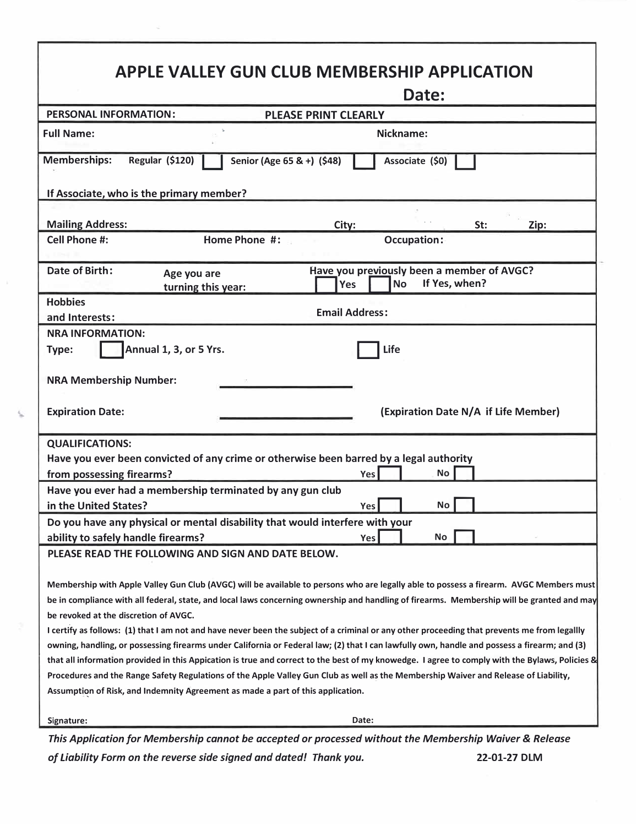| <b>APPLE VALLEY GUN CLUB MEMBERSHIP APPLICATION</b>                                                                                            |                                                           |       |                                                         |               |      |  |
|------------------------------------------------------------------------------------------------------------------------------------------------|-----------------------------------------------------------|-------|---------------------------------------------------------|---------------|------|--|
|                                                                                                                                                |                                                           |       | Date:                                                   |               |      |  |
| <b>PERSONAL INFORMATION:</b><br><b>PLEASE PRINT CLEARLY</b>                                                                                    |                                                           |       |                                                         |               |      |  |
| <b>Full Name:</b>                                                                                                                              | Nickname:                                                 |       |                                                         |               |      |  |
| <b>Memberships:</b><br>Regular (\$120)<br>Senior (Age 65 & +) (\$48)<br>Associate (\$0)                                                        |                                                           |       |                                                         |               |      |  |
| If Associate, who is the primary member?                                                                                                       |                                                           |       |                                                         |               |      |  |
|                                                                                                                                                |                                                           |       |                                                         |               |      |  |
| <b>Mailing Address:</b>                                                                                                                        |                                                           | City: |                                                         | St:           | Zip: |  |
| <b>Cell Phone #:</b>                                                                                                                           | Home Phone #:                                             |       | <b>Occupation:</b>                                      |               |      |  |
| Date of Birth:                                                                                                                                 | Age you are<br>turning this year:                         | Yes   | Have you previously been a member of AVGC?<br><b>No</b> | If Yes, when? |      |  |
| <b>Hobbies</b>                                                                                                                                 |                                                           |       |                                                         |               |      |  |
| and Interests:                                                                                                                                 | <b>Email Address:</b>                                     |       |                                                         |               |      |  |
| <b>NRA INFORMATION:</b>                                                                                                                        |                                                           |       |                                                         |               |      |  |
| Type:                                                                                                                                          | Annual 1, 3, or 5 Yrs.                                    |       | Life                                                    |               |      |  |
| <b>NRA Membership Number:</b>                                                                                                                  |                                                           |       |                                                         |               |      |  |
| <b>Expiration Date:</b>                                                                                                                        |                                                           |       | (Expiration Date N/A if Life Member)                    |               |      |  |
| <b>QUALIFICATIONS:</b>                                                                                                                         |                                                           |       |                                                         |               |      |  |
| Have you ever been convicted of any crime or otherwise been barred by a legal authority<br><b>No</b>                                           |                                                           |       |                                                         |               |      |  |
| from possessing firearms?                                                                                                                      |                                                           | Yes   |                                                         |               |      |  |
|                                                                                                                                                | Have you ever had a membership terminated by any gun club |       |                                                         |               |      |  |
| in the United States?                                                                                                                          |                                                           | Yes I |                                                         | No            |      |  |
| Do you have any physical or mental disability that would interfere with your                                                                   |                                                           |       |                                                         |               |      |  |
| ability to safely handle firearms?                                                                                                             |                                                           | Yes   | No                                                      |               |      |  |
| PLEASE READ THE FOLLOWING AND SIGN AND DATE BELOW.                                                                                             |                                                           |       |                                                         |               |      |  |
| Membership with Apple Valley Gun Club (AVGC) will be available to persons who are legally able to possess a firearm. AVGC Members must         |                                                           |       |                                                         |               |      |  |
| be in compliance with all federal, state, and local laws concerning ownership and handling of firearms. Membership will be granted and may     |                                                           |       |                                                         |               |      |  |
| be revoked at the discretion of AVGC.                                                                                                          |                                                           |       |                                                         |               |      |  |
| I certify as follows: (1) that I am not and have never been the subject of a criminal or any other proceeding that prevents me from legallly   |                                                           |       |                                                         |               |      |  |
| owning, handling, or possessing firearms under California or Federal law; (2) that I can lawfully own, handle and possess a firearm; and (3)   |                                                           |       |                                                         |               |      |  |
| that all information provided in this Appication is true and correct to the best of my knowedge. I agree to comply with the Bylaws, Policies & |                                                           |       |                                                         |               |      |  |
| Procedures and the Range Safety Regulations of the Apple Valley Gun Club as well as the Membership Waiver and Release of Liability,            |                                                           |       |                                                         |               |      |  |
| Assumption of Risk, and Indemnity Agreement as made a part of this application.                                                                |                                                           |       |                                                         |               |      |  |
| Signature:                                                                                                                                     |                                                           | Date: |                                                         |               |      |  |
| This Application for Membership cannot be accepted or processed without the Membership Waiver & Release                                        |                                                           |       |                                                         |               |      |  |

*of liability Form on the reverse side signed and dated! Thank you.* **22-01-27 DLM**